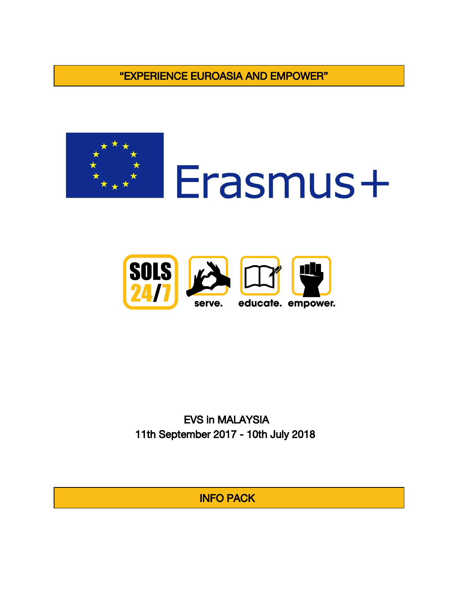"EXPERIENCE EUROASIA AND EMPOWER"







EVS in MALAYSIA 11th September 2017 - 10th July 2018

INFO PACK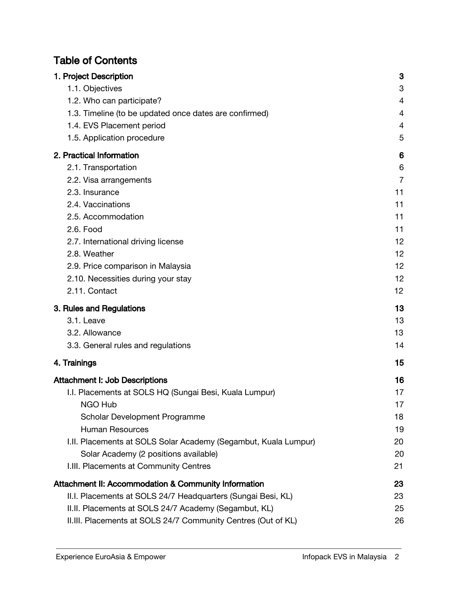# Table of Contents

| 1. Project Description                                          | 3              |
|-----------------------------------------------------------------|----------------|
| 1.1. Objectives                                                 | 3              |
| 1.2. Who can participate?                                       | 4              |
| 1.3. Timeline (to be updated once dates are confirmed)          | 4              |
| 1.4. EVS Placement period                                       | 4              |
| 1.5. Application procedure                                      | 5              |
| 2. Practical Information                                        | 6              |
| 2.1. Transportation                                             | 6              |
| 2.2. Visa arrangements                                          | $\overline{7}$ |
| 2.3. Insurance                                                  | 11             |
| 2.4. Vaccinations                                               | 11             |
| 2.5. Accommodation                                              | 11             |
| 2.6. Food                                                       | 11             |
| 2.7. International driving license                              | 12             |
| 2.8. Weather                                                    | 12             |
| 2.9. Price comparison in Malaysia                               | 12             |
| 2.10. Necessities during your stay                              | 12             |
| 2.11. Contact                                                   | 12             |
| 3. Rules and Regulations                                        | 13             |
| 3.1. Leave                                                      | 13             |
| 3.2. Allowance                                                  | 13             |
| 3.3. General rules and regulations                              | 14             |
| 4. Trainings                                                    | 15             |
| <b>Attachment I: Job Descriptions</b>                           | 16             |
| I.I. Placements at SOLS HQ (Sungai Besi, Kuala Lumpur)          | 17             |
| NGO Hub                                                         | 17             |
| Scholar Development Programme                                   | 18             |
| <b>Human Resources</b>                                          | 19             |
| I.II. Placements at SOLS Solar Academy (Segambut, Kuala Lumpur) | 20             |
| Solar Academy (2 positions available)                           | 20             |
| I.III. Placements at Community Centres                          | 21             |
| Attachment II: Accommodation & Community Information            | 23             |
| II.I. Placements at SOLS 24/7 Headquarters (Sungai Besi, KL)    | 23             |
| II.II. Placements at SOLS 24/7 Academy (Segambut, KL)           | 25             |
| II.III. Placements at SOLS 24/7 Community Centres (Out of KL)   | 26             |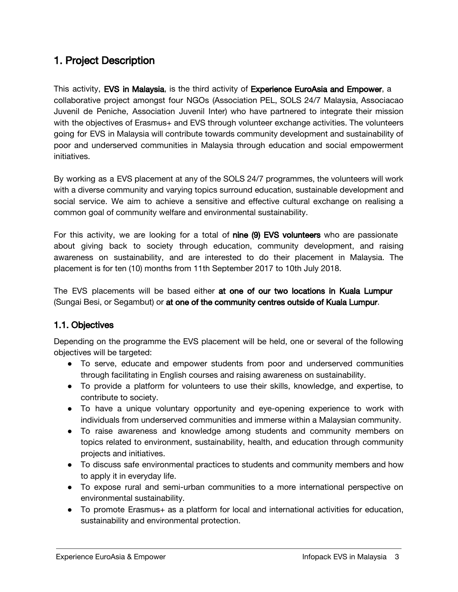# <span id="page-2-0"></span>1. Project Description

This activity, EVS in Malaysia, is the third activity of Experience EuroAsia and Empower, a collaborative project amongst four NGOs (Association PEL, SOLS 24/7 Malaysia, Associacao Juvenil de Peniche, Association Juvenil Inter) who have partnered to integrate their mission with the objectives of Erasmus+ and EVS through volunteer exchange activities. The volunteers going for EVS in Malaysia will contribute towards community development and sustainability of poor and underserved communities in Malaysia through education and social empowerment initiatives.

By working as a EVS placement at any of the SOLS 24/7 programmes, the volunteers will work with a diverse community and varying topics surround education, sustainable development and social service. We aim to achieve a sensitive and effective cultural exchange on realising a common goal of community welfare and environmental sustainability.

For this activity, we are looking for a total of **nine (9) EVS volunteers** who are passionate about giving back to society through education, community development, and raising awareness on sustainability, and are interested to do their placement in Malaysia. The placement is for ten (10) months from 11th September 2017 to 10th July 2018.

The EVS placements will be based either at one of our two locations in Kuala Lumpur (Sungai Besi, or Segambut) or at one of the community centres outside of Kuala Lumpur.

# <span id="page-2-1"></span>1.1. Objectives

Depending on the programme the EVS placement will be held, one or several of the following objectives will be targeted:

- To serve, educate and empower students from poor and underserved communities through facilitating in English courses and raising awareness on sustainability.
- To provide a platform for volunteers to use their skills, knowledge, and expertise, to contribute to society.
- To have a unique voluntary opportunity and eye-opening experience to work with individuals from underserved communities and immerse within a Malaysian community.
- To raise awareness and knowledge among students and community members on topics related to environment, sustainability, health, and education through community projects and initiatives.
- To discuss safe environmental practices to students and community members and how to apply it in everyday life.
- To expose rural and semi-urban communities to a more international perspective on environmental sustainability.
- To promote Erasmus+ as a platform for local and international activities for education, sustainability and environmental protection.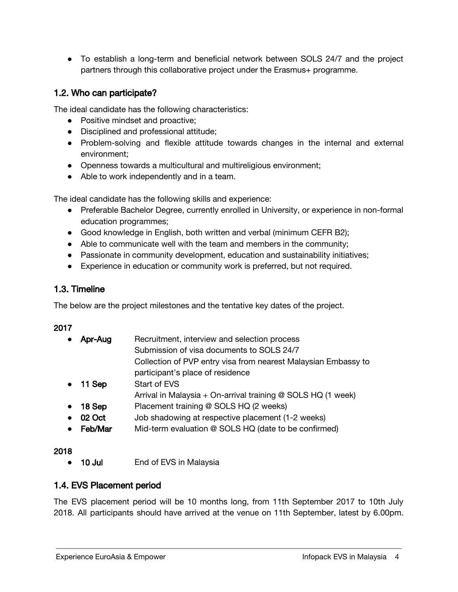● To establish a long-term and beneficial network between SOLS 24/7 and the project partners through this collaborative project under the Erasmus+ programme.

# <span id="page-3-0"></span>1.2. Who can participate?

The ideal candidate has the following characteristics:

- Positive mindset and proactive;
- Disciplined and professional attitude;
- Problem-solving and flexible attitude towards changes in the internal and external environment;
- Openness towards a multicultural and multireligious environment;
- Able to work independently and in a team.

The ideal candidate has the following skills and experience:

- Preferable Bachelor Degree, currently enrolled in University, or experience in non-formal education programmes;
- Good knowledge in English, both written and verbal (minimum CEFR B2);
- Able to communicate well with the team and members in the community;
- Passionate in community development, education and sustainability initiatives;
- Experience in education or community work is preferred, but not required.

# <span id="page-3-1"></span>1.3. Timeline

The below are the project milestones and the tentative key dates of the project.

## 2017

| $\bullet$ | Apr-Aug          | Recruitment, interview and selection process                   |
|-----------|------------------|----------------------------------------------------------------|
|           |                  | Submission of visa documents to SOLS 24/7                      |
|           |                  | Collection of PVP entry visa from nearest Malaysian Embassy to |
|           |                  | participant's place of residence                               |
|           | $\bullet$ 11 Sep | <b>Start of EVS</b>                                            |
|           |                  | Arrival in Malaysia + On-arrival training @ SOLS HQ (1 week)   |
| $\bullet$ | 18 Sep           | Placement training @ SOLS HQ (2 weeks)                         |
|           | $\bullet$ 02 Oct | Job shadowing at respective placement (1-2 weeks)              |
|           |                  |                                                                |

• Feb/Mar Mid-term evaluation @ SOLS HQ (date to be confirmed)

## 2018

**●** 10 Jul End of EVS in Malaysia

# <span id="page-3-2"></span>1.4. EVS Placement period

The EVS placement period will be 10 months long, from 11th September 2017 to 10th July 2018. All participants should have arrived at the venue on 11th September, latest by 6.00pm.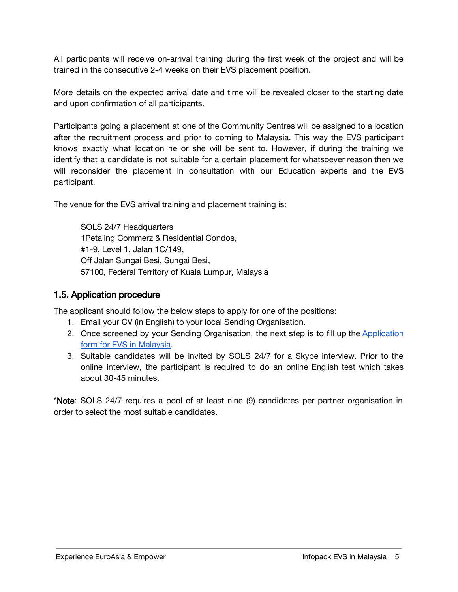All participants will receive on-arrival training during the first week of the project and will be trained in the consecutive 2-4 weeks on their EVS placement position.

More details on the expected arrival date and time will be revealed closer to the starting date and upon confirmation of all participants.

Participants going a placement at one of the Community Centres will be assigned to a location after the recruitment process and prior to coming to Malaysia. This way the EVS participant knows exactly what location he or she will be sent to. However, if during the training we identify that a candidate is not suitable for a certain placement for whatsoever reason then we will reconsider the placement in consultation with our Education experts and the EVS participant.

The venue for the EVS arrival training and placement training is:

SOLS 24/7 Headquarters 1Petaling Commerz & Residential Condos, #1-9, Level 1, Jalan 1C/149, Off Jalan Sungai Besi, Sungai Besi, 57100, Federal Territory of Kuala Lumpur, Malaysia

# <span id="page-4-0"></span>1.5. Application procedure

The applicant should follow the below steps to apply for one of the positions:

- 1. Email your CV (in English) to your local Sending Organisation.
- 2. Once screened by your Sending Organisation, the next step is to fill up the [Application](https://goo.gl/forms/8MbR4A2Dm9BP83tQ2) form for EVS in [Malaysia.](https://goo.gl/forms/8MbR4A2Dm9BP83tQ2)
- 3. Suitable candidates will be invited by SOLS 24/7 for a Skype interview. Prior to the online interview, the participant is required to do an online English test which takes about 30-45 minutes.

\*Note: SOLS 24/7 requires a pool of at least nine (9) candidates per partner organisation in order to select the most suitable candidates.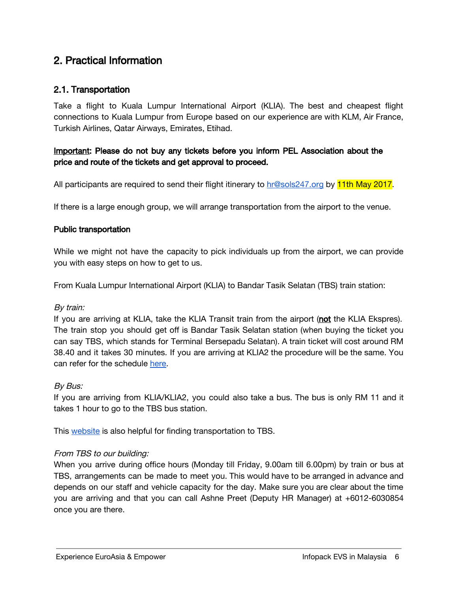# <span id="page-5-0"></span>2. Practical Information

# <span id="page-5-1"></span>2.1. Transportation

Take a flight to Kuala Lumpur International Airport (KLIA). The best and cheapest flight connections to Kuala Lumpur from Europe based on our experience are with KLM, Air France, Turkish Airlines, Qatar Airways, Emirates, Etihad.

# Important: Please do not buy any tickets before you inform PEL Association about the price and route of the tickets and get approval to proceed.

All participants are required to send their flight itinerary to [hr@sols247.org](mailto:hr@sols247.org) by 11th May 2017.

If there is a large enough group, we will arrange transportation from the airport to the venue.

### Public transportation

While we might not have the capacity to pick individuals up from the airport, we can provide you with easy steps on how to get to us.

From Kuala Lumpur International Airport (KLIA) to Bandar Tasik Selatan (TBS) train station:

### By train:

If you are arriving at KLIA, take the KLIA Transit train from the airport (not the KLIA Ekspres). The train stop you should get off is Bandar Tasik Selatan station (when buying the ticket you can say TBS, which stands for Terminal Bersepadu Selatan). A train ticket will cost around RM 38.40 and it takes 30 minutes. If you are arriving at KLIA2 the procedure will be the same. You can refer for the schedule [here.](https://www.kliaekspres.com/wp-content/uploads/2013/01/KE-KT-Train-Times-141116-Final.pdf)

### By Bus:

If you are arriving from KLIA/KLIA2, you could also take a bus. The bus is only RM 11 and it takes 1 hour to go to the TBS bus station.

This [website](http://www.tbsbts.com.my/other-transports) is also helpful for finding transportation to TBS.

### From TBS to our building:

When you arrive during office hours (Monday till Friday, 9.00am till 6.00pm) by train or bus at TBS, arrangements can be made to meet you. This would have to be arranged in advance and depends on our staff and vehicle capacity for the day. Make sure you are clear about the time you are arriving and that you can call Ashne Preet (Deputy HR Manager) at +6012-6030854 once you are there.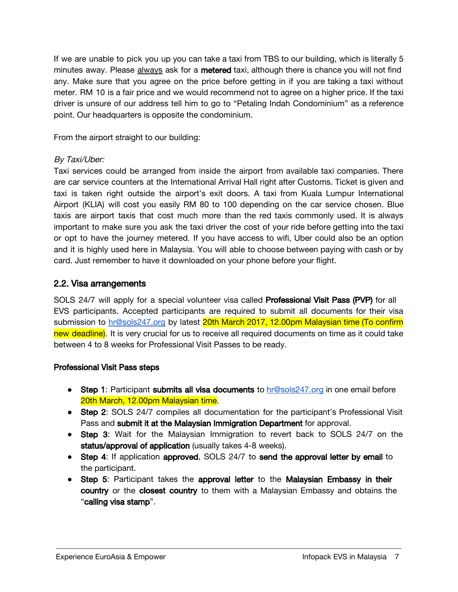If we are unable to pick you up you can take a taxi from TBS to our building, which is literally 5 minutes away. Please always ask for a metered taxi, although there is chance you will not find any. Make sure that you agree on the price before getting in if you are taking a taxi without meter. RM 10 is a fair price and we would recommend not to agree on a higher price. If the taxi driver is unsure of our address tell him to go to "Petaling Indah Condominium" as a reference point. Our headquarters is opposite the condominium.

From the airport straight to our building:

# By Taxi/Uber:

Taxi services could be arranged from inside the airport from available taxi companies. There are car service counters at the International Arrival Hall right after Customs. Ticket is given and taxi is taken right outside the airport's exit doors. A taxi from Kuala Lumpur International Airport (KLIA) will cost you easily RM 80 to 100 depending on the car service chosen. Blue taxis are airport taxis that cost much more than the red taxis commonly used. It is always important to make sure you ask the taxi driver the cost of your ride before getting into the taxi or opt to have the journey metered. If you have access to wifi, Uber could also be an option and it is highly used here in Malaysia. You will able to choose between paying with cash or by card. Just remember to have it downloaded on your phone before your flight.

# <span id="page-6-0"></span>2.2. Visa arrangements

SOLS 24/7 will apply for a special volunteer visa called Professional Visit Pass (PVP) for all EVS participants. Accepted participants are required to submit all documents for their visa submission to [hr@sols247.org](mailto:hr@sols247.org) by latest 20th March 2017, 12.00pm Malaysian time (To confirm new deadline). It is very crucial for us to receive all required documents on time as it could take between 4 to 8 weeks for Professional Visit Passes to be ready.

## Professional Visit Pass steps

- Step 1: Participant submits all visa documents to [hr@sols247.org](mailto:hr@sols247.org) in one email before 20th March, 12.00pm Malaysian time.
- Step 2: SOLS 24/7 compiles all documentation for the participant's Professional Visit Pass and submit it at the Malaysian Immigration Department for approval.
- Step 3: Wait for the Malaysian Immigration to revert back to SOLS 24/7 on the status/approval of application (usually takes 4-8 weeks).
- Step 4: If application approved, SOLS 24/7 to send the approval letter by email to the participant.
- Step 5: Participant takes the approval letter to the Malaysian Embassy in their country or the closest country to them with a Malaysian Embassy and obtains the "calling visa stamp".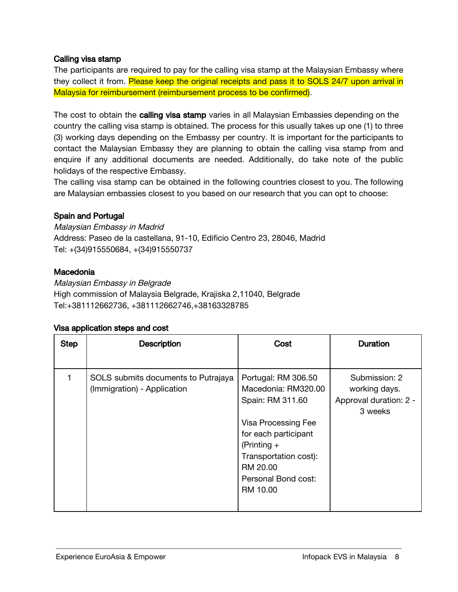## Calling visa stamp

The participants are required to pay for the calling visa stamp at the Malaysian Embassy where they collect it from. Please keep the original receipts and pass it to SOLS 24/7 upon arrival in Malaysia for reimbursement (reimbursement process to be confirmed).

The cost to obtain the calling visa stamp varies in all Malaysian Embassies depending on the country the calling visa stamp is obtained. The process for this usually takes up one (1) to three (3) working days depending on the Embassy per country. It is important for the participants to contact the Malaysian Embassy they are planning to obtain the calling visa stamp from and enquire if any additional documents are needed. Additionally, do take note of the public holidays of the respective Embassy.

The calling visa stamp can be obtained in the following countries closest to you. The following are Malaysian embassies closest to you based on our research that you can opt to choose:

### Spain and Portugal

Malaysian Embassy in Madrid Address: Paseo de la castellana, 91-10, Edificio Centro 23, 28046, Madrid Tel: +(34)915550684, +(34)915550737

### **Macedonia**

Malaysian Embassy in Belgrade High commission of Malaysia Belgrade, Krajiska 2,11040, Belgrade Tel:+381112662736, +381112662746,+38163328785

### Visa application steps and cost

| <b>Step</b> | <b>Description</b>                                                 | Cost                                                                                                                                                                                                   | <b>Duration</b>                                                     |
|-------------|--------------------------------------------------------------------|--------------------------------------------------------------------------------------------------------------------------------------------------------------------------------------------------------|---------------------------------------------------------------------|
|             |                                                                    |                                                                                                                                                                                                        |                                                                     |
|             | SOLS submits documents to Putrajaya<br>(Immigration) - Application | Portugal: RM 306.50<br>Macedonia: RM320.00<br>Spain: RM 311.60<br>Visa Processing Fee<br>for each participant<br>$(Printing +$<br>Transportation cost):<br>RM 20.00<br>Personal Bond cost:<br>RM 10.00 | Submission: 2<br>working days.<br>Approval duration: 2 -<br>3 weeks |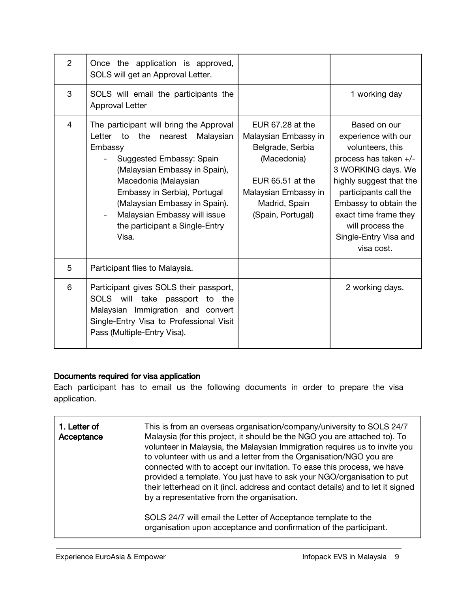| $\overline{2}$ | Once the application is approved,<br>SOLS will get an Approval Letter.                                                                                                                                                                                                                                                             |                                                                                                                                                               |                                                                                                                                                                                                                                                                         |
|----------------|------------------------------------------------------------------------------------------------------------------------------------------------------------------------------------------------------------------------------------------------------------------------------------------------------------------------------------|---------------------------------------------------------------------------------------------------------------------------------------------------------------|-------------------------------------------------------------------------------------------------------------------------------------------------------------------------------------------------------------------------------------------------------------------------|
| 3              | SOLS will email the participants the<br><b>Approval Letter</b>                                                                                                                                                                                                                                                                     |                                                                                                                                                               | 1 working day                                                                                                                                                                                                                                                           |
| $\overline{4}$ | The participant will bring the Approval<br>Letter<br>the<br>to<br>Malaysian<br>nearest<br>Embassy<br>Suggested Embassy: Spain<br>(Malaysian Embassy in Spain),<br>Macedonia (Malaysian<br>Embassy in Serbia), Portugal<br>(Malaysian Embassy in Spain).<br>Malaysian Embassy will issue<br>the participant a Single-Entry<br>Visa. | EUR 67.28 at the<br>Malaysian Embassy in<br>Belgrade, Serbia<br>(Macedonia)<br>EUR 65.51 at the<br>Malaysian Embassy in<br>Madrid, Spain<br>(Spain, Portugal) | Based on our<br>experience with our<br>volunteers, this<br>process has taken +/-<br>3 WORKING days. We<br>highly suggest that the<br>participants call the<br>Embassy to obtain the<br>exact time frame they<br>will process the<br>Single-Entry Visa and<br>visa cost. |
| 5              | Participant flies to Malaysia.                                                                                                                                                                                                                                                                                                     |                                                                                                                                                               |                                                                                                                                                                                                                                                                         |
| 6              | Participant gives SOLS their passport,<br>SOLS will take passport to the<br>Malaysian Immigration and convert<br>Single-Entry Visa to Professional Visit<br>Pass (Multiple-Entry Visa).                                                                                                                                            |                                                                                                                                                               | 2 working days.                                                                                                                                                                                                                                                         |

# Documents required for visa application

Each participant has to email us the following documents in order to prepare the visa application.

| 1. Letter of<br>Acceptance | This is from an overseas organisation/company/university to SOLS 24/7<br>Malaysia (for this project, it should be the NGO you are attached to). To<br>volunteer in Malaysia, the Malaysian Immigration requires us to invite you<br>to volunteer with us and a letter from the Organisation/NGO you are<br>connected with to accept our invitation. To ease this process, we have<br>provided a template. You just have to ask your NGO/organisation to put<br>their letterhead on it (incl. address and contact details) and to let it signed<br>by a representative from the organisation. |
|----------------------------|----------------------------------------------------------------------------------------------------------------------------------------------------------------------------------------------------------------------------------------------------------------------------------------------------------------------------------------------------------------------------------------------------------------------------------------------------------------------------------------------------------------------------------------------------------------------------------------------|
|                            | SOLS 24/7 will email the Letter of Acceptance template to the<br>organisation upon acceptance and confirmation of the participant.                                                                                                                                                                                                                                                                                                                                                                                                                                                           |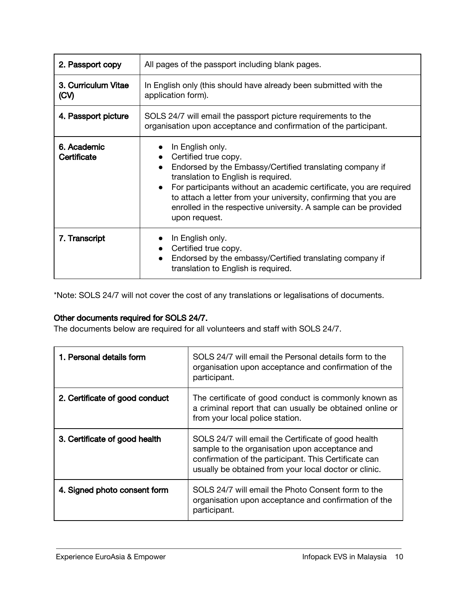| 2. Passport copy            | All pages of the passport including blank pages.                                                                                                                                                                                                                                                                                                                                       |  |
|-----------------------------|----------------------------------------------------------------------------------------------------------------------------------------------------------------------------------------------------------------------------------------------------------------------------------------------------------------------------------------------------------------------------------------|--|
| 3. Curriculum Vitae<br>(CV) | In English only (this should have already been submitted with the<br>application form).                                                                                                                                                                                                                                                                                                |  |
| 4. Passport picture         | SOLS 24/7 will email the passport picture requirements to the<br>organisation upon acceptance and confirmation of the participant.                                                                                                                                                                                                                                                     |  |
| 6. Academic<br>Certificate  | In English only.<br>Certified true copy.<br>Endorsed by the Embassy/Certified translating company if<br>translation to English is required.<br>For participants without an academic certificate, you are required<br>$\bullet$<br>to attach a letter from your university, confirming that you are<br>enrolled in the respective university. A sample can be provided<br>upon request. |  |
| 7. Transcript               | In English only.<br>Certified true copy.<br>Endorsed by the embassy/Certified translating company if<br>translation to English is required.                                                                                                                                                                                                                                            |  |

\*Note: SOLS 24/7 will not cover the cost of any translations or legalisations of documents.

# Other documents required for SOLS 24/7.

The documents below are required for all volunteers and staff with SOLS 24/7.

| 1. Personal details form       | SOLS 24/7 will email the Personal details form to the<br>organisation upon acceptance and confirmation of the<br>participant.                                                                                           |
|--------------------------------|-------------------------------------------------------------------------------------------------------------------------------------------------------------------------------------------------------------------------|
| 2. Certificate of good conduct | The certificate of good conduct is commonly known as<br>a criminal report that can usually be obtained online or<br>from your local police station.                                                                     |
| 3. Certificate of good health  | SOLS 24/7 will email the Certificate of good health<br>sample to the organisation upon acceptance and<br>confirmation of the participant. This Certificate can<br>usually be obtained from your local doctor or clinic. |
| 4. Signed photo consent form   | SOLS 24/7 will email the Photo Consent form to the<br>organisation upon acceptance and confirmation of the<br>participant.                                                                                              |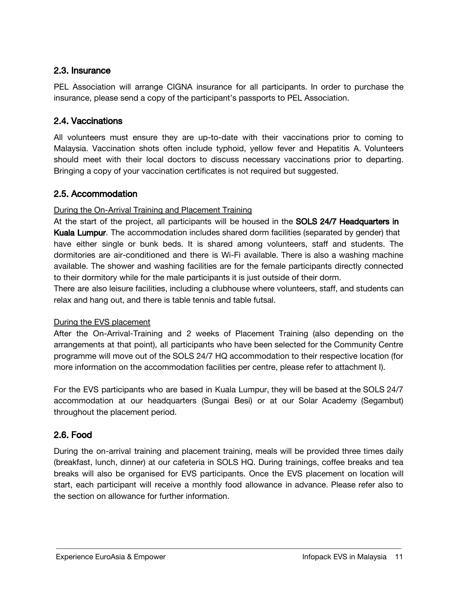# <span id="page-10-0"></span>2.3. Insurance

PEL Association will arrange CIGNA insurance for all participants. In order to purchase the insurance, please send a copy of the participant's passports to PEL Association.

# <span id="page-10-1"></span>2.4. Vaccinations

All volunteers must ensure they are up-to-date with their vaccinations prior to coming to Malaysia. Vaccination shots often include typhoid, yellow fever and Hepatitis A. Volunteers should meet with their local doctors to discuss necessary vaccinations prior to departing. Bringing a copy of your vaccination certificates is not required but suggested.

# <span id="page-10-3"></span>2.5. Accommodation

## During the On-Arrival Training and Placement Training

At the start of the project, all participants will be housed in the SOLS 24/7 Headquarters in Kuala Lumpur. The accommodation includes shared dorm facilities (separated by gender) that have either single or bunk beds. It is shared among volunteers, staff and students. The dormitories are air-conditioned and there is Wi-Fi available. There is also a washing machine available. The shower and washing facilities are for the female participants directly connected to their dormitory while for the male participants it is just outside of their dorm.

There are also leisure facilities, including a clubhouse where volunteers, staff, and students can relax and hang out, and there is table tennis and table futsal.

## During the EVS placement

After the On-Arrival-Training and 2 weeks of Placement Training (also depending on the arrangements at that point), all participants who have been selected for the Community Centre programme will move out of the SOLS 24/7 HQ accommodation to their respective location (for more information on the accommodation facilities per centre, please refer to attachment I).

For the EVS participants who are based in Kuala Lumpur, they will be based at the SOLS 24/7 accommodation at our headquarters (Sungai Besi) or at our Solar Academy (Segambut) throughout the placement period.

# <span id="page-10-2"></span>2.6. Food

During the on-arrival training and placement training, meals will be provided three times daily (breakfast, lunch, dinner) at our cafeteria in SOLS HQ. During trainings, coffee breaks and tea breaks will also be organised for EVS participants. Once the EVS placement on location will start, each participant will receive a monthly food allowance in advance. Please refer also to the section on allowance for further information.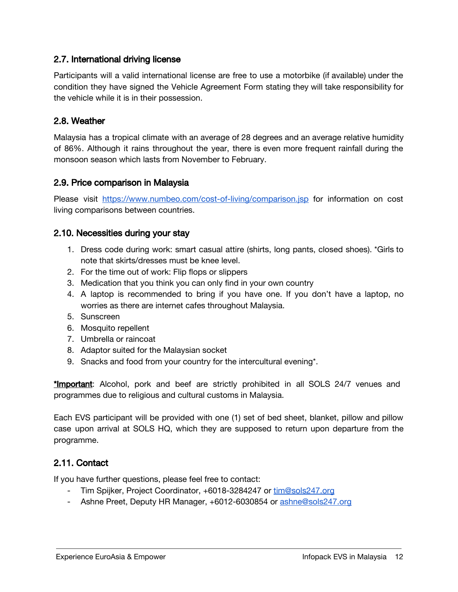# <span id="page-11-4"></span>2.7. International driving license

Participants will a valid international license are free to use a motorbike (if available) under the condition they have signed the Vehicle Agreement Form stating they will take responsibility for the vehicle while it is in their possession.

# <span id="page-11-0"></span>2.8. Weather

Malaysia has a tropical climate with an average of 28 degrees and an average relative humidity of 86%. Although it rains throughout the year, there is even more frequent rainfall during the monsoon season which lasts from November to February.

## <span id="page-11-1"></span>2.9. Price comparison in Malaysia

Please visit <https://www.numbeo.com/cost-of-living/comparison.jsp> for information on cost living comparisons between countries.

# <span id="page-11-3"></span>2.10. Necessities during your stay

- 1. Dress code during work: smart casual attire (shirts, long pants, closed shoes). \*Girls to note that skirts/dresses must be knee level.
- 2. For the time out of work: Flip flops or slippers
- 3. Medication that you think you can only find in your own country
- 4. A laptop is recommended to bring if you have one. If you don't have a laptop, no worries as there are internet cafes throughout Malaysia.
- 5. Sunscreen
- 6. Mosquito repellent
- 7. Umbrella or raincoat
- 8. Adaptor suited for the Malaysian socket
- 9. Snacks and food from your country for the intercultural evening\*.

\*Important: Alcohol, pork and beef are strictly prohibited in all SOLS 24/7 venues and programmes due to religious and cultural customs in Malaysia.

Each EVS participant will be provided with one (1) set of bed sheet, blanket, pillow and pillow case upon arrival at SOLS HQ, which they are supposed to return upon departure from the programme.

# <span id="page-11-2"></span>2.11. Contact

If you have further questions, please feel free to contact:

- Tim Spijker, Project Coordinator, +6018-3284247 or [tim@sols247.org](mailto:tim@sols247.org)
- Ashne Preet, Deputy HR Manager, +6012-6030854 or [ashne@sols247.org](mailto:ashne@sols247.org)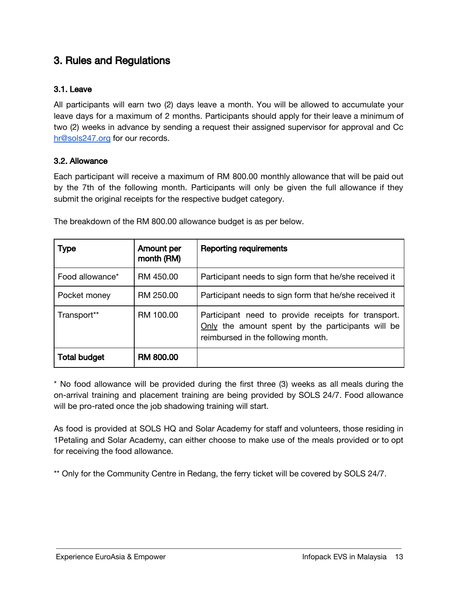# <span id="page-12-2"></span>3. Rules and Regulations

## <span id="page-12-1"></span>3.1. Leave

All participants will earn two (2) days leave a month. You will be allowed to accumulate your leave days for a maximum of 2 months. Participants should apply for their leave a minimum of two (2) weeks in advance by sending a request their assigned supervisor for approval and Cc [hr@sols247.org](mailto:hr@sols247.org) for our records.

### <span id="page-12-0"></span>3.2. Allowance

Each participant will receive a maximum of RM 800.00 monthly allowance that will be paid out by the 7th of the following month. Participants will only be given the full allowance if they submit the original receipts for the respective budget category.

| <b>Type</b>         | Amount per<br>month (RM) | <b>Reporting requirements</b>                                                                                                                  |
|---------------------|--------------------------|------------------------------------------------------------------------------------------------------------------------------------------------|
| Food allowance*     | RM 450.00                | Participant needs to sign form that he/she received it                                                                                         |
| Pocket money        | RM 250.00                | Participant needs to sign form that he/she received it                                                                                         |
| Transport**         | RM 100.00                | Participant need to provide receipts for transport.<br>Only the amount spent by the participants will be<br>reimbursed in the following month. |
| <b>Total budget</b> | <b>RM 800.00</b>         |                                                                                                                                                |

The breakdown of the RM 800.00 allowance budget is as per below.

\* No food allowance will be provided during the first three (3) weeks as all meals during the on-arrival training and placement training are being provided by SOLS 24/7. Food allowance will be pro-rated once the job shadowing training will start.

As food is provided at SOLS HQ and Solar Academy for staff and volunteers, those residing in 1Petaling and Solar Academy, can either choose to make use of the meals provided or to opt for receiving the food allowance.

\*\* Only for the Community Centre in Redang, the ferry ticket will be covered by SOLS 24/7.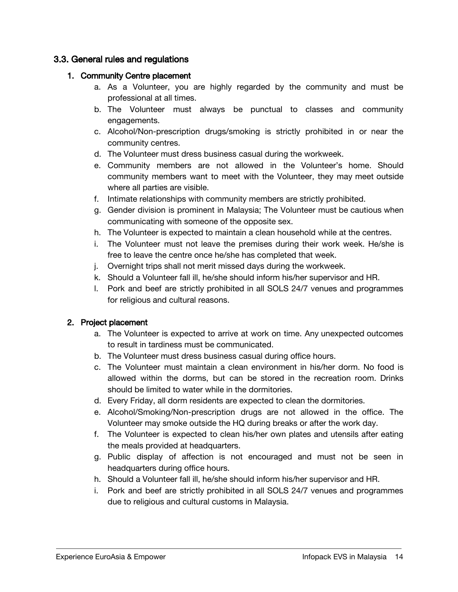# <span id="page-13-0"></span>3.3. General rules and regulations

## 1. Community Centre placement

- a. As a Volunteer, you are highly regarded by the community and must be professional at all times.
- b. The Volunteer must always be punctual to classes and community engagements.
- c. Alcohol/Non-prescription drugs/smoking is strictly prohibited in or near the community centres.
- d. The Volunteer must dress business casual during the workweek.
- e. Community members are not allowed in the Volunteer's home. Should community members want to meet with the Volunteer, they may meet outside where all parties are visible.
- f. Intimate relationships with community members are strictly prohibited.
- g. Gender division is prominent in Malaysia; The Volunteer must be cautious when communicating with someone of the opposite sex.
- h. The Volunteer is expected to maintain a clean household while at the centres.
- i. The Volunteer must not leave the premises during their work week. He/she is free to leave the centre once he/she has completed that week.
- j. Overnight trips shall not merit missed days during the workweek.
- k. Should a Volunteer fall ill, he/she should inform his/her supervisor and HR.
- l. Pork and beef are strictly prohibited in all SOLS 24/7 venues and programmes for religious and cultural reasons.

## 2. Project placement

- a. The Volunteer is expected to arrive at work on time. Any unexpected outcomes to result in tardiness must be communicated.
- b. The Volunteer must dress business casual during office hours.
- c. The Volunteer must maintain a clean environment in his/her dorm. No food is allowed within the dorms, but can be stored in the recreation room. Drinks should be limited to water while in the dormitories.
- d. Every Friday, all dorm residents are expected to clean the dormitories.
- e. Alcohol/Smoking/Non-prescription drugs are not allowed in the office. The Volunteer may smoke outside the HQ during breaks or after the work day.
- f. The Volunteer is expected to clean his/her own plates and utensils after eating the meals provided at headquarters.
- g. Public display of affection is not encouraged and must not be seen in headquarters during office hours.
- h. Should a Volunteer fall ill, he/she should inform his/her supervisor and HR.
- i. Pork and beef are strictly prohibited in all SOLS 24/7 venues and programmes due to religious and cultural customs in Malaysia.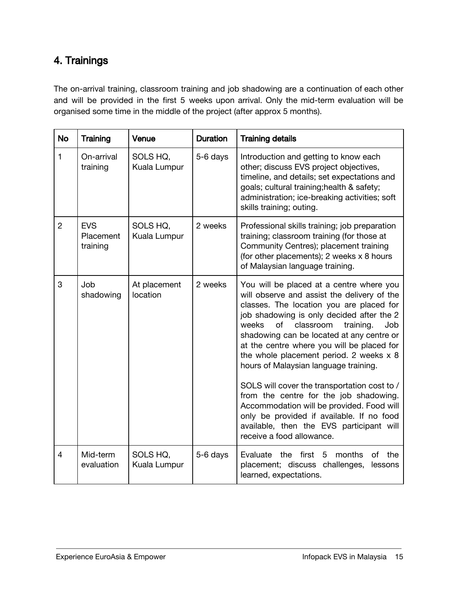# <span id="page-14-0"></span>4. Trainings

The on-arrival training, classroom training and job shadowing are a continuation of each other and will be provided in the first 5 weeks upon arrival. Only the mid-term evaluation will be organised some time in the middle of the project (after approx 5 months).

| <b>No</b>      | Training                            | Venue                    | <b>Duration</b> | <b>Training details</b>                                                                                                                                                                                                                                                                                                                                                                                                                                                                                                                                                                                                                                                      |
|----------------|-------------------------------------|--------------------------|-----------------|------------------------------------------------------------------------------------------------------------------------------------------------------------------------------------------------------------------------------------------------------------------------------------------------------------------------------------------------------------------------------------------------------------------------------------------------------------------------------------------------------------------------------------------------------------------------------------------------------------------------------------------------------------------------------|
| $\mathbf{1}$   | On-arrival<br>training              | SOLS HQ,<br>Kuala Lumpur | 5-6 days        | Introduction and getting to know each<br>other; discuss EVS project objectives,<br>timeline, and details; set expectations and<br>goals; cultural training; health & safety;<br>administration; ice-breaking activities; soft<br>skills training; outing.                                                                                                                                                                                                                                                                                                                                                                                                                    |
| $\overline{2}$ | <b>EVS</b><br>Placement<br>training | SOLS HQ,<br>Kuala Lumpur | 2 weeks         | Professional skills training; job preparation<br>training; classroom training (for those at<br>Community Centres); placement training<br>(for other placements); 2 weeks x 8 hours<br>of Malaysian language training.                                                                                                                                                                                                                                                                                                                                                                                                                                                        |
| 3              | Job<br>shadowing                    | At placement<br>location | 2 weeks         | You will be placed at a centre where you<br>will observe and assist the delivery of the<br>classes. The location you are placed for<br>job shadowing is only decided after the 2<br>classroom<br>weeks<br>of<br>training.<br>Job<br>shadowing can be located at any centre or<br>at the centre where you will be placed for<br>the whole placement period. 2 weeks x 8<br>hours of Malaysian language training.<br>SOLS will cover the transportation cost to /<br>from the centre for the job shadowing.<br>Accommodation will be provided. Food will<br>only be provided if available. If no food<br>available, then the EVS participant will<br>receive a food allowance. |
| 4              | Mid-term<br>evaluation              | SOLS HQ,<br>Kuala Lumpur | 5-6 days        | Evaluate the first<br>5<br>months<br>of the<br>placement; discuss challenges,<br>lessons<br>learned, expectations.                                                                                                                                                                                                                                                                                                                                                                                                                                                                                                                                                           |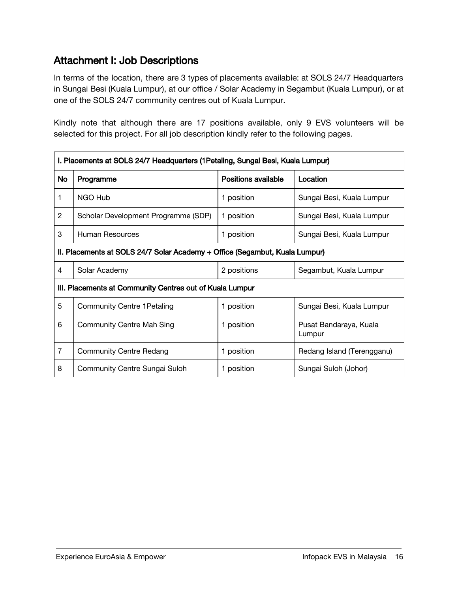# <span id="page-15-0"></span>Attachment I: Job Descriptions

In terms of the location, there are 3 types of placements available: at SOLS 24/7 Headquarters in Sungai Besi (Kuala Lumpur), at our office / Solar Academy in Segambut (Kuala Lumpur), or at one of the SOLS 24/7 community centres out of Kuala Lumpur.

Kindly note that although there are 17 positions available, only 9 EVS volunteers will be selected for this project. For all job description kindly refer to the following pages.

| I. Placements at SOLS 24/7 Headquarters (1 Petaling, Sungai Besi, Kuala Lumpur) |                                     |                     |                                  |
|---------------------------------------------------------------------------------|-------------------------------------|---------------------|----------------------------------|
| No                                                                              | Programme                           | Positions available | Location                         |
| 1                                                                               | NGO Hub                             | 1 position          | Sungai Besi, Kuala Lumpur        |
| $\overline{2}$                                                                  | Scholar Development Programme (SDP) | 1 position          | Sungai Besi, Kuala Lumpur        |
| 3                                                                               | Human Resources                     | 1 position          | Sungai Besi, Kuala Lumpur        |
| II. Placements at SOLS 24/7 Solar Academy + Office (Segambut, Kuala Lumpur)     |                                     |                     |                                  |
| 4                                                                               | Solar Academy                       | 2 positions         | Segambut, Kuala Lumpur           |
| III. Placements at Community Centres out of Kuala Lumpur                        |                                     |                     |                                  |
| 5                                                                               | <b>Community Centre 1 Petaling</b>  | 1 position          | Sungai Besi, Kuala Lumpur        |
| 6                                                                               | Community Centre Mah Sing           | 1 position          | Pusat Bandaraya, Kuala<br>Lumpur |
| $\overline{7}$                                                                  | <b>Community Centre Redang</b>      | 1 position          | Redang Island (Terengganu)       |
| 8                                                                               | Community Centre Sungai Suloh       | 1 position          | Sungai Suloh (Johor)             |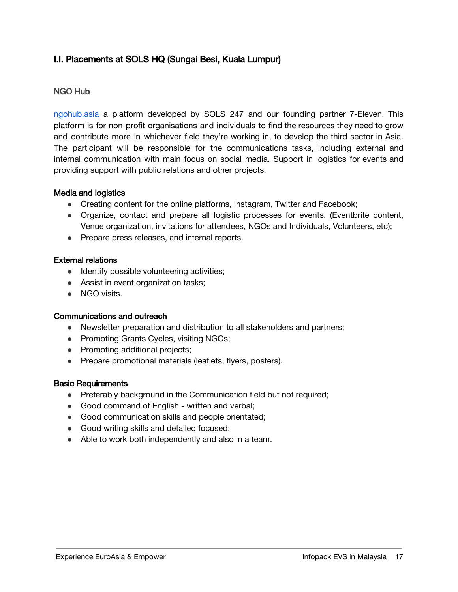# <span id="page-16-0"></span>I.I. Placements at SOLS HQ (Sungai Besi, Kuala Lumpur)

# <span id="page-16-1"></span>NGO Hub

[ngohub.asia](http://www.ngohub.asia/) a platform developed by SOLS 247 and our founding partner 7-Eleven. This platform is for non-profit organisations and individuals to find the resources they need to grow and contribute more in whichever field they're working in, to develop the third sector in Asia. The participant will be responsible for the communications tasks, including external and internal communication with main focus on social media. Support in logistics for events and providing support with public relations and other projects.

### Media and logistics

- Creating content for the online platforms, Instagram, Twitter and Facebook;
- Organize, contact and prepare all logistic processes for events. (Eventbrite content, Venue organization, invitations for attendees, NGOs and Individuals, Volunteers, etc);
- Prepare press releases, and internal reports.

### External relations

- Identify possible volunteering activities;
- Assist in event organization tasks;
- NGO visits.

### Communications and outreach

- Newsletter preparation and distribution to all stakeholders and partners;
- Promoting Grants Cycles, visiting NGOs;
- Promoting additional projects;
- Prepare promotional materials (leaflets, flyers, posters).

### Basic Requirements

- Preferably background in the Communication field but not required;
- Good command of English written and verbal;
- Good communication skills and people orientated;
- Good writing skills and detailed focused;
- Able to work both independently and also in a team.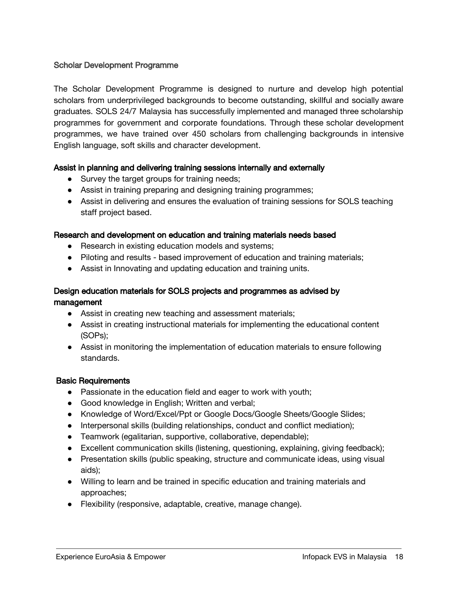### <span id="page-17-0"></span>Scholar Development Programme

The Scholar Development Programme is designed to nurture and develop high potential scholars from underprivileged backgrounds to become outstanding, skillful and socially aware graduates. SOLS 24/7 Malaysia has successfully implemented and managed three scholarship programmes for government and corporate foundations. Through these scholar development programmes, we have trained over 450 scholars from challenging backgrounds in intensive English language, soft skills and character development.

### Assist in planning and delivering training sessions internally and externally

- Survey the target groups for training needs;
- Assist in training preparing and designing training programmes;
- Assist in delivering and ensures the evaluation of training sessions for SOLS teaching staff project based.

#### Research and development on education and training materials needs based

- Research in existing education models and systems;
- Piloting and results based improvement of education and training materials;
- Assist in Innovating and updating education and training units.

### Design education materials for SOLS projects and programmes as advised by management

# • Assist in creating new teaching and assessment materials;

- Assist in creating instructional materials for implementing the educational content (SOPs);
- Assist in monitoring the implementation of education materials to ensure following standards.

### Basic Requirements

- Passionate in the education field and eager to work with youth;
- Good knowledge in English; Written and verbal;
- Knowledge of Word/Excel/Ppt or Google Docs/Google Sheets/Google Slides;
- Interpersonal skills (building relationships, conduct and conflict mediation);
- Teamwork (egalitarian, supportive, collaborative, dependable);
- Excellent communication skills (listening, questioning, explaining, giving feedback);
- Presentation skills (public speaking, structure and communicate ideas, using visual aids);
- Willing to learn and be trained in specific education and training materials and approaches;
- Flexibility (responsive, adaptable, creative, manage change).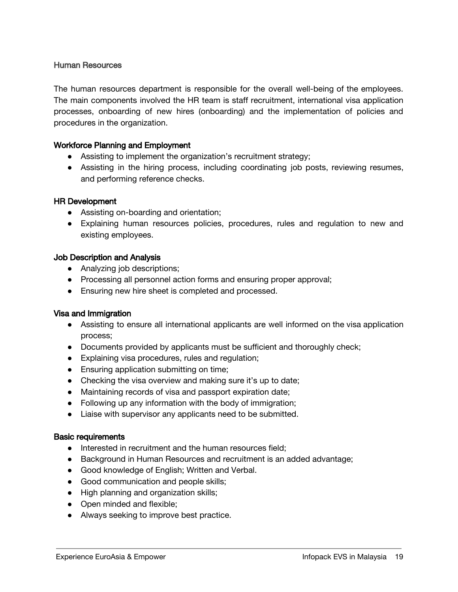### <span id="page-18-0"></span>Human Resources

The human resources department is responsible for the overall well-being of the employees. The main components involved the HR team is staff recruitment, international visa application processes, onboarding of new hires (onboarding) and the implementation of policies and procedures in the organization.

### Workforce Planning and Employment

- Assisting to implement the organization's recruitment strategy;
- Assisting in the hiring process, including coordinating job posts, reviewing resumes, and performing reference checks.

#### HR Development

- Assisting on-boarding and orientation;
- Explaining human resources policies, procedures, rules and regulation to new and existing employees.

#### Job Description and Analysis

- Analyzing job descriptions;
- Processing all personnel action forms and ensuring proper approval;
- Ensuring new hire sheet is completed and processed.

### Visa and Immigration

- Assisting to ensure all international applicants are well informed on the visa application process;
- Documents provided by applicants must be sufficient and thoroughly check;
- Explaining visa procedures, rules and regulation;
- Ensuring application submitting on time;
- Checking the visa overview and making sure it's up to date;
- Maintaining records of visa and passport expiration date;
- Following up any information with the body of immigration;
- Liaise with supervisor any applicants need to be submitted.

#### Basic requirements

- Interested in recruitment and the human resources field;
- Background in Human Resources and recruitment is an added advantage;
- Good knowledge of English; Written and Verbal.
- Good communication and people skills;
- High planning and organization skills;
- Open minded and flexible;
- Always seeking to improve best practice.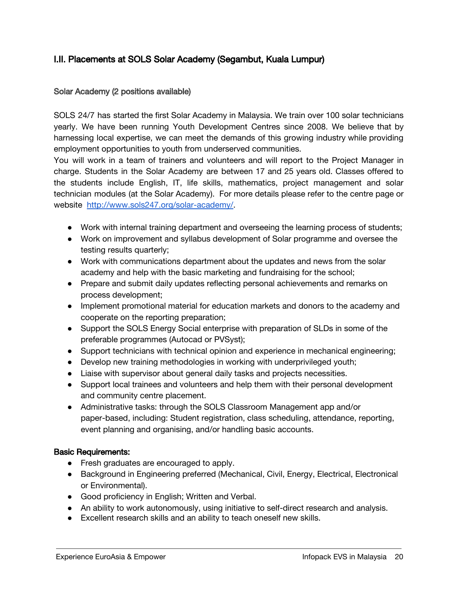# <span id="page-19-0"></span>I.II. Placements at SOLS Solar Academy (Segambut, Kuala Lumpur)

## <span id="page-19-1"></span>Solar Academy (2 positions available)

SOLS 24/7 has started the first Solar Academy in Malaysia. We train over 100 solar technicians yearly. We have been running Youth Development Centres since 2008. We believe that by harnessing local expertise, we can meet the demands of this growing industry while providing employment opportunities to youth from underserved communities.

You will work in a team of trainers and volunteers and will report to the Project Manager in charge. Students in the Solar Academy are between 17 and 25 years old. Classes offered to the students include English, IT, life skills, mathematics, project management and solar technician modules (at the Solar Academy). For more details please refer to the centre page or website [http://www.sols247.org/solar-academy/.](http://www.sols247.org/solar-academy/)

- Work with internal training department and overseeing the learning process of students;
- Work on improvement and syllabus development of Solar programme and oversee the testing results quarterly;
- Work with communications department about the updates and news from the solar academy and help with the basic marketing and fundraising for the school;
- Prepare and submit daily updates reflecting personal achievements and remarks on process development;
- Implement promotional material for education markets and donors to the academy and cooperate on the reporting preparation;
- Support the SOLS Energy Social enterprise with preparation of SLDs in some of the preferable programmes (Autocad or PVSyst);
- Support technicians with technical opinion and experience in mechanical engineering;
- Develop new training methodologies in working with underprivileged youth;
- Liaise with supervisor about general daily tasks and projects necessities.
- Support local trainees and volunteers and help them with their personal development and community centre placement.
- Administrative tasks: through the SOLS Classroom Management app and/or paper-based, including: Student registration, class scheduling, attendance, reporting, event planning and organising, and/or handling basic accounts.

## Basic Requirements:

- Fresh graduates are encouraged to apply.
- Background in Engineering preferred (Mechanical, Civil, Energy, Electrical, Electronical or Environmental).
- Good proficiency in English; Written and Verbal.
- An ability to work autonomously, using initiative to self-direct research and analysis.
- Excellent research skills and an ability to teach oneself new skills.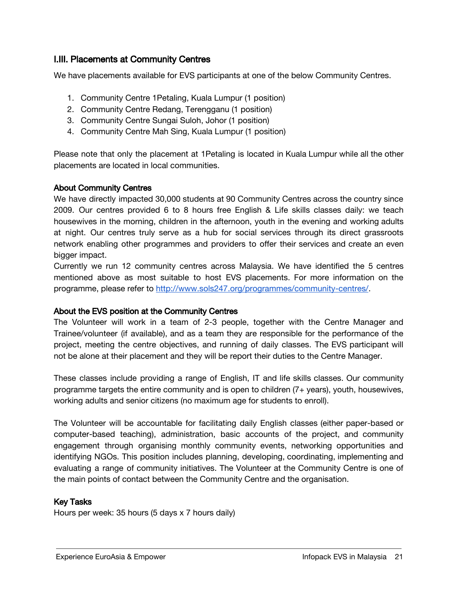# <span id="page-20-0"></span>I.III. Placements at Community Centres

We have placements available for EVS participants at one of the below Community Centres.

- 1. Community Centre 1Petaling, Kuala Lumpur (1 position)
- 2. Community Centre Redang, Terengganu (1 position)
- 3. Community Centre Sungai Suloh, Johor (1 position)
- 4. Community Centre Mah Sing, Kuala Lumpur (1 position)

Please note that only the placement at 1Petaling is located in Kuala Lumpur while all the other placements are located in local communities.

## About Community Centres

We have directly impacted 30,000 students at 90 Community Centres across the country since 2009. Our centres provided 6 to 8 hours free English & Life skills classes daily: we teach housewives in the morning, children in the afternoon, youth in the evening and working adults at night. Our centres truly serve as a hub for social services through its direct grassroots network enabling other programmes and providers to offer their services and create an even bigger impact.

Currently we run 12 community centres across Malaysia. We have identified the 5 centres mentioned above as most suitable to host EVS placements. For more information on the programme, please refer to [http://www.sols247.org/programmes/community-centres/.](http://www.sols247.org/programs/community-centres/)

## About the EVS position at the Community Centres

The Volunteer will work in a team of 2-3 people, together with the Centre Manager and Trainee/volunteer (if available), and as a team they are responsible for the performance of the project, meeting the centre objectives, and running of daily classes. The EVS participant will not be alone at their placement and they will be report their duties to the Centre Manager.

These classes include providing a range of English, IT and life skills classes. Our community programme targets the entire community and is open to children (7+ years), youth, housewives, working adults and senior citizens (no maximum age for students to enroll).

The Volunteer will be accountable for facilitating daily English classes (either paper-based or computer-based teaching), administration, basic accounts of the project, and community engagement through organising monthly community events, networking opportunities and identifying NGOs. This position includes planning, developing, coordinating, implementing and evaluating a range of community initiatives. The Volunteer at the Community Centre is one of the main points of contact between the Community Centre and the organisation.

## Key Tasks

Hours per week: 35 hours (5 days x 7 hours daily)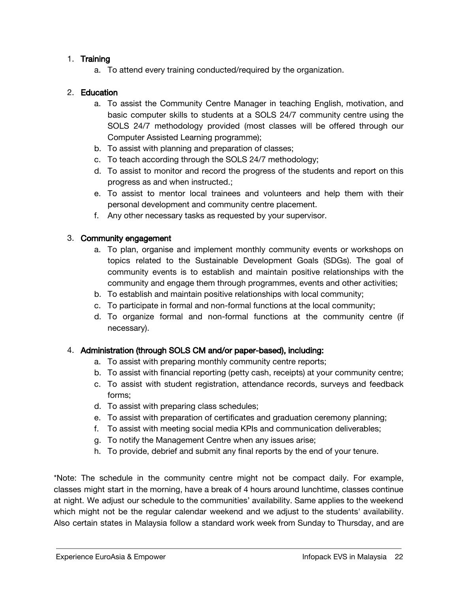# 1. Training

a. To attend every training conducted/required by the organization.

# 2. Education

- a. To assist the Community Centre Manager in teaching English, motivation, and basic computer skills to students at a SOLS 24/7 community centre using the SOLS 24/7 methodology provided (most classes will be offered through our Computer Assisted Learning programme);
- b. To assist with planning and preparation of classes;
- c. To teach according through the SOLS 24/7 methodology;
- d. To assist to monitor and record the progress of the students and report on this progress as and when instructed.;
- e. To assist to mentor local trainees and volunteers and help them with their personal development and community centre placement.
- f. Any other necessary tasks as requested by your supervisor.

# 3. Community engagement

- a. To plan, organise and implement monthly community events or workshops on topics related to the Sustainable Development Goals (SDGs). The goal of community events is to establish and maintain positive relationships with the community and engage them through programmes, events and other activities;
- b. To establish and maintain positive relationships with local community;
- c. To participate in formal and non-formal functions at the local community;
- d. To organize formal and non-formal functions at the community centre (if necessary).

# 4. Administration (through SOLS CM and/or paper-based), including:

- a. To assist with preparing monthly community centre reports;
- b. To assist with financial reporting (petty cash, receipts) at your community centre;
- c. To assist with student registration, attendance records, surveys and feedback forms;
- d. To assist with preparing class schedules;
- e. To assist with preparation of certificates and graduation ceremony planning;
- f. To assist with meeting social media KPIs and communication deliverables;
- g. To notify the Management Centre when any issues arise;
- h. To provide, debrief and submit any final reports by the end of your tenure.

\*Note: The schedule in the community centre might not be compact daily. For example, classes might start in the morning, have a break of 4 hours around lunchtime, classes continue at night. We adjust our schedule to the communities' availability. Same applies to the weekend which might not be the regular calendar weekend and we adjust to the students' availability. Also certain states in Malaysia follow a standard work week from Sunday to Thursday, and are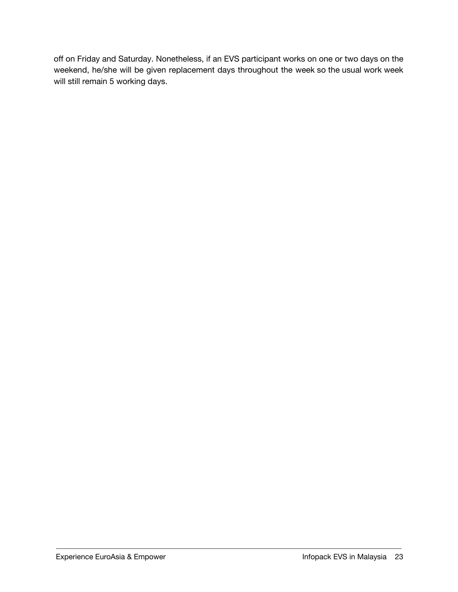off on Friday and Saturday. Nonetheless, if an EVS participant works on one or two days on the weekend, he/she will be given replacement days throughout the week so the usual work week will still remain 5 working days.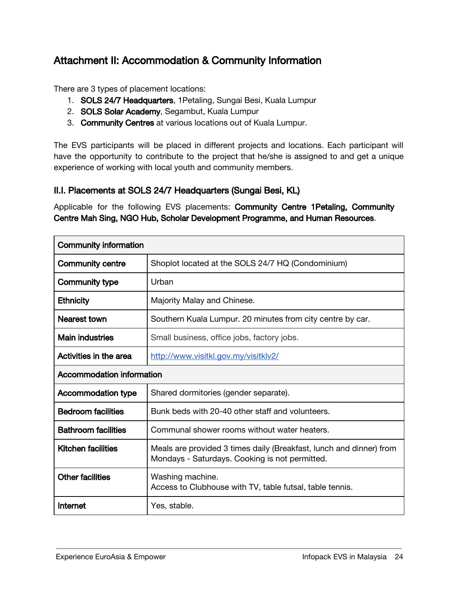# <span id="page-23-0"></span>Attachment II: Accommodation & Community Information

There are 3 types of placement locations:

- 1. SOLS 24/7 Headquarters, 1Petaling, Sungai Besi, Kuala Lumpur
- 2. SOLS Solar Academy, Segambut, Kuala Lumpur
- 3. Community Centres at various locations out of Kuala Lumpur.

The EVS participants will be placed in different projects and locations. Each participant will have the opportunity to contribute to the project that he/she is assigned to and get a unique experience of working with local youth and community members.

# <span id="page-23-1"></span>II.I. Placements at SOLS 24/7 Headquarters (Sungai Besi, KL)

Applicable for the following EVS placements: Community Centre 1Petaling, Community Centre Mah Sing, NGO Hub, Scholar Development Programme, and Human Resources.

| <b>Community information</b>     |                                                                                                                       |  |
|----------------------------------|-----------------------------------------------------------------------------------------------------------------------|--|
| <b>Community centre</b>          | Shoplot located at the SOLS 24/7 HQ (Condominium)                                                                     |  |
| <b>Community type</b>            | Urban                                                                                                                 |  |
| <b>Ethnicity</b>                 | Majority Malay and Chinese.                                                                                           |  |
| Nearest town                     | Southern Kuala Lumpur. 20 minutes from city centre by car.                                                            |  |
| <b>Main industries</b>           | Small business, office jobs, factory jobs.                                                                            |  |
| Activities in the area           | http://www.visitkl.gov.my/visitklv2/                                                                                  |  |
| <b>Accommodation information</b> |                                                                                                                       |  |
| <b>Accommodation type</b>        | Shared dormitories (gender separate).                                                                                 |  |
| <b>Bedroom facilities</b>        | Bunk beds with 20-40 other staff and volunteers.                                                                      |  |
| <b>Bathroom facilities</b>       | Communal shower rooms without water heaters.                                                                          |  |
| <b>Kitchen facilities</b>        | Meals are provided 3 times daily (Breakfast, lunch and dinner) from<br>Mondays - Saturdays. Cooking is not permitted. |  |
| <b>Other facilities</b>          | Washing machine.<br>Access to Clubhouse with TV, table futsal, table tennis.                                          |  |
| Internet                         | Yes, stable.                                                                                                          |  |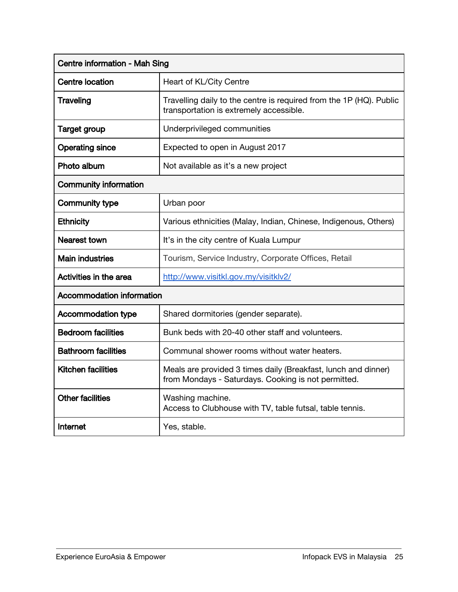| Centre information - Mah Sing    |                                                                                                                       |  |
|----------------------------------|-----------------------------------------------------------------------------------------------------------------------|--|
| <b>Centre location</b>           | Heart of KL/City Centre                                                                                               |  |
| <b>Traveling</b>                 | Travelling daily to the centre is required from the 1P (HQ). Public<br>transportation is extremely accessible.        |  |
| <b>Target group</b>              | Underprivileged communities                                                                                           |  |
| <b>Operating since</b>           | Expected to open in August 2017                                                                                       |  |
| Photo album                      | Not available as it's a new project                                                                                   |  |
| <b>Community information</b>     |                                                                                                                       |  |
| <b>Community type</b>            | Urban poor                                                                                                            |  |
| <b>Ethnicity</b>                 | Various ethnicities (Malay, Indian, Chinese, Indigenous, Others)                                                      |  |
| Nearest town                     | It's in the city centre of Kuala Lumpur                                                                               |  |
| <b>Main industries</b>           | Tourism, Service Industry, Corporate Offices, Retail                                                                  |  |
| Activities in the area           | http://www.visitkl.gov.my/visitklv2/                                                                                  |  |
| <b>Accommodation information</b> |                                                                                                                       |  |
| <b>Accommodation type</b>        | Shared dormitories (gender separate).                                                                                 |  |
| <b>Bedroom facilities</b>        | Bunk beds with 20-40 other staff and volunteers.                                                                      |  |
| <b>Bathroom facilities</b>       | Communal shower rooms without water heaters.                                                                          |  |
| <b>Kitchen facilities</b>        | Meals are provided 3 times daily (Breakfast, lunch and dinner)<br>from Mondays - Saturdays. Cooking is not permitted. |  |
| <b>Other facilities</b>          | Washing machine.<br>Access to Clubhouse with TV, table futsal, table tennis.                                          |  |
| Internet                         | Yes, stable.                                                                                                          |  |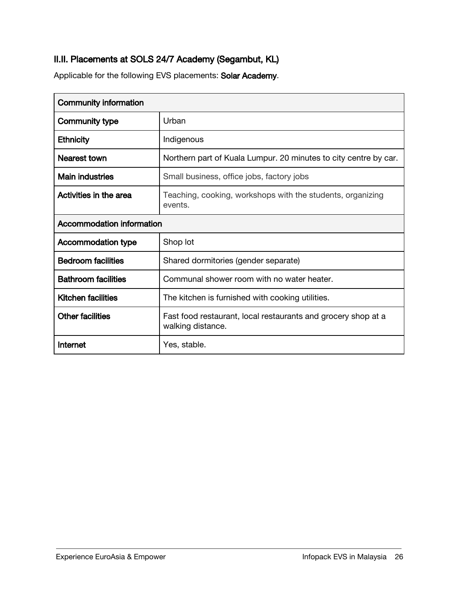# <span id="page-25-0"></span>II.II. Placements at SOLS 24/7 Academy (Segambut, KL)

Applicable for the following EVS placements: Solar Academy.

| <b>Community information</b>     |                                                                                    |
|----------------------------------|------------------------------------------------------------------------------------|
| Community type                   | Urban                                                                              |
| <b>Ethnicity</b>                 | Indigenous                                                                         |
| Nearest town                     | Northern part of Kuala Lumpur. 20 minutes to city centre by car.                   |
| <b>Main industries</b>           | Small business, office jobs, factory jobs                                          |
| Activities in the area           | Teaching, cooking, workshops with the students, organizing<br>events.              |
| <b>Accommodation information</b> |                                                                                    |
| <b>Accommodation type</b>        | Shop lot                                                                           |
| <b>Bedroom facilities</b>        | Shared dormitories (gender separate)                                               |
| <b>Bathroom facilities</b>       | Communal shower room with no water heater.                                         |
| <b>Kitchen facilities</b>        | The kitchen is furnished with cooking utilities.                                   |
| <b>Other facilities</b>          | Fast food restaurant, local restaurants and grocery shop at a<br>walking distance. |
| Internet                         | Yes, stable.                                                                       |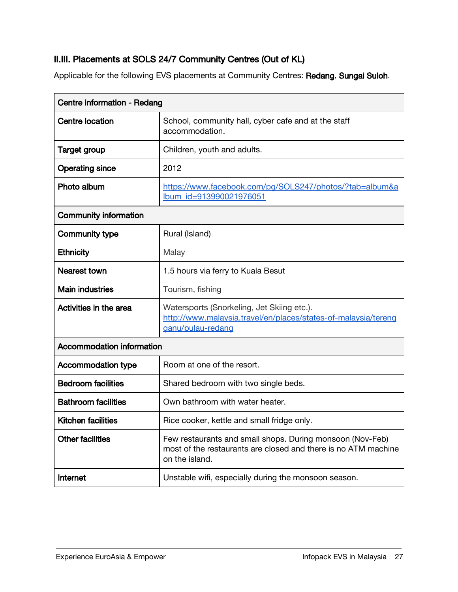# <span id="page-26-0"></span>II.III. Placements at SOLS 24/7 Community Centres (Out of KL)

Applicable for the following EVS placements at Community Centres: Redang, Sungai Suloh.

| Centre information - Redang      |                                                                                                                                               |  |
|----------------------------------|-----------------------------------------------------------------------------------------------------------------------------------------------|--|
| <b>Centre location</b>           | School, community hall, cyber cafe and at the staff<br>accommodation.                                                                         |  |
| <b>Target group</b>              | Children, youth and adults.                                                                                                                   |  |
| <b>Operating since</b>           | 2012                                                                                                                                          |  |
| Photo album                      | https://www.facebook.com/pg/SOLS247/photos/?tab=album&a<br>Ibum id=913990021976051                                                            |  |
| <b>Community information</b>     |                                                                                                                                               |  |
| <b>Community type</b>            | Rural (Island)                                                                                                                                |  |
| <b>Ethnicity</b>                 | Malay                                                                                                                                         |  |
| Nearest town                     | 1.5 hours via ferry to Kuala Besut                                                                                                            |  |
| <b>Main industries</b>           | Tourism, fishing                                                                                                                              |  |
| Activities in the area           | Watersports (Snorkeling, Jet Skiing etc.).<br>http://www.malaysia.travel/en/places/states-of-malaysia/tereng<br>ganu/pulau-redang             |  |
| <b>Accommodation information</b> |                                                                                                                                               |  |
| <b>Accommodation type</b>        | Room at one of the resort.                                                                                                                    |  |
| <b>Bedroom facilities</b>        | Shared bedroom with two single beds.                                                                                                          |  |
| <b>Bathroom facilities</b>       | Own bathroom with water heater.                                                                                                               |  |
| <b>Kitchen facilities</b>        | Rice cooker, kettle and small fridge only.                                                                                                    |  |
| <b>Other facilities</b>          | Few restaurants and small shops. During monsoon (Nov-Feb)<br>most of the restaurants are closed and there is no ATM machine<br>on the island. |  |
| Internet                         | Unstable wifi, especially during the monsoon season.                                                                                          |  |